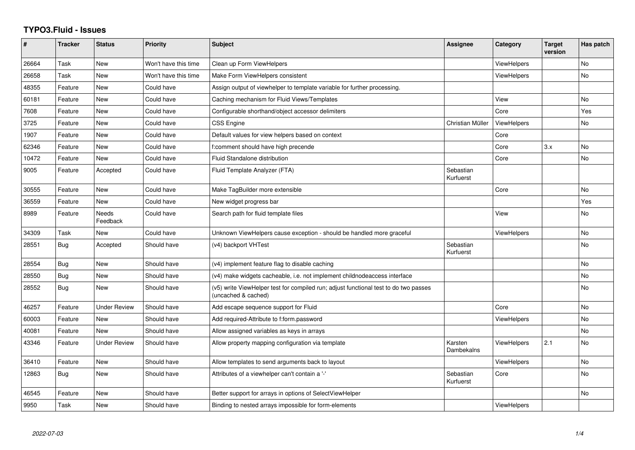## **TYPO3.Fluid - Issues**

| #     | <b>Tracker</b> | <b>Status</b>       | <b>Priority</b>      | <b>Subject</b>                                                                                              | Assignee               | Category           | <b>Target</b><br>version | Has patch |
|-------|----------------|---------------------|----------------------|-------------------------------------------------------------------------------------------------------------|------------------------|--------------------|--------------------------|-----------|
| 26664 | Task           | <b>New</b>          | Won't have this time | Clean up Form ViewHelpers                                                                                   |                        | ViewHelpers        |                          | <b>No</b> |
| 26658 | Task           | New                 | Won't have this time | Make Form ViewHelpers consistent                                                                            |                        | <b>ViewHelpers</b> |                          | No        |
| 48355 | Feature        | <b>New</b>          | Could have           | Assign output of viewhelper to template variable for further processing.                                    |                        |                    |                          |           |
| 60181 | Feature        | New                 | Could have           | Caching mechanism for Fluid Views/Templates                                                                 |                        | View               |                          | No        |
| 7608  | Feature        | New                 | Could have           | Configurable shorthand/object accessor delimiters                                                           |                        | Core               |                          | Yes       |
| 3725  | Feature        | <b>New</b>          | Could have           | <b>CSS Engine</b>                                                                                           | Christian Müller       | <b>ViewHelpers</b> |                          | No        |
| 1907  | Feature        | New                 | Could have           | Default values for view helpers based on context                                                            |                        | Core               |                          |           |
| 62346 | Feature        | New                 | Could have           | f:comment should have high precende                                                                         |                        | Core               | 3.x                      | No        |
| 10472 | Feature        | New                 | Could have           | <b>Fluid Standalone distribution</b>                                                                        |                        | Core               |                          | <b>No</b> |
| 9005  | Feature        | Accepted            | Could have           | Fluid Template Analyzer (FTA)                                                                               | Sebastian<br>Kurfuerst |                    |                          |           |
| 30555 | Feature        | New                 | Could have           | Make TagBuilder more extensible                                                                             |                        | Core               |                          | No        |
| 36559 | Feature        | <b>New</b>          | Could have           | New widget progress bar                                                                                     |                        |                    |                          | Yes       |
| 8989  | Feature        | Needs<br>Feedback   | Could have           | Search path for fluid template files                                                                        |                        | View               |                          | <b>No</b> |
| 34309 | Task           | <b>New</b>          | Could have           | Unknown ViewHelpers cause exception - should be handled more graceful                                       |                        | <b>ViewHelpers</b> |                          | <b>No</b> |
| 28551 | Bug            | Accepted            | Should have          | (v4) backport VHTest                                                                                        | Sebastian<br>Kurfuerst |                    |                          | <b>No</b> |
| 28554 | Bug            | New                 | Should have          | (v4) implement feature flag to disable caching                                                              |                        |                    |                          | <b>No</b> |
| 28550 | Bug            | New                 | Should have          | (v4) make widgets cacheable, i.e. not implement childnodeaccess interface                                   |                        |                    |                          | <b>No</b> |
| 28552 | Bug            | New                 | Should have          | (v5) write ViewHelper test for compiled run; adjust functional test to do two passes<br>(uncached & cached) |                        |                    |                          | No        |
| 46257 | Feature        | <b>Under Review</b> | Should have          | Add escape sequence support for Fluid                                                                       |                        | Core               |                          | <b>No</b> |
| 60003 | Feature        | New                 | Should have          | Add required-Attribute to f:form.password                                                                   |                        | <b>ViewHelpers</b> |                          | No        |
| 40081 | Feature        | New                 | Should have          | Allow assigned variables as keys in arrays                                                                  |                        |                    |                          | <b>No</b> |
| 43346 | Feature        | <b>Under Review</b> | Should have          | Allow property mapping configuration via template                                                           | Karsten<br>Dambekalns  | <b>ViewHelpers</b> | 2.1                      | <b>No</b> |
| 36410 | Feature        | New                 | Should have          | Allow templates to send arguments back to layout                                                            |                        | ViewHelpers        |                          | <b>No</b> |
| 12863 | Bug            | New                 | Should have          | Attributes of a viewhelper can't contain a '-'                                                              | Sebastian<br>Kurfuerst | Core               |                          | No        |
| 46545 | Feature        | New                 | Should have          | Better support for arrays in options of SelectViewHelper                                                    |                        |                    |                          | No        |
| 9950  | Task           | New                 | Should have          | Binding to nested arrays impossible for form-elements                                                       |                        | <b>ViewHelpers</b> |                          |           |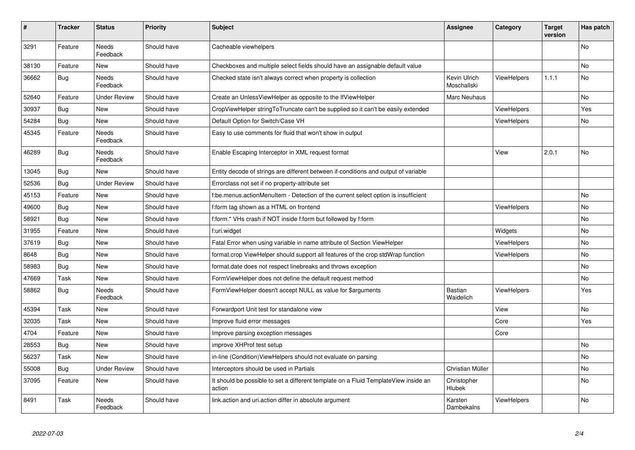| #     | <b>Tracker</b> | <b>Status</b>            | <b>Priority</b> | <b>Subject</b>                                                                                | Assignee                    | Category           | <b>Target</b><br>version | Has patch |
|-------|----------------|--------------------------|-----------------|-----------------------------------------------------------------------------------------------|-----------------------------|--------------------|--------------------------|-----------|
| 3291  | Feature        | Needs<br>Feedback        | Should have     | Cacheable viewhelpers                                                                         |                             |                    |                          | No        |
| 38130 | Feature        | <b>New</b>               | Should have     | Checkboxes and multiple select fields should have an assignable default value                 |                             |                    |                          | <b>No</b> |
| 36662 | Bug            | Needs<br>Feedback        | Should have     | Checked state isn't always correct when property is collection                                | Kevin Ulrich<br>Moschallski | <b>ViewHelpers</b> | 1.1.1                    | No        |
| 52640 | Feature        | <b>Under Review</b>      | Should have     | Create an UnlessViewHelper as opposite to the IfViewHelper                                    | Marc Neuhaus                |                    |                          | <b>No</b> |
| 30937 | <b>Bug</b>     | New                      | Should have     | CropViewHelper stringToTruncate can't be supplied so it can't be easily extended              |                             | <b>ViewHelpers</b> |                          | Yes       |
| 54284 | Bug            | New                      | Should have     | Default Option for Switch/Case VH                                                             |                             | <b>ViewHelpers</b> |                          | No        |
| 45345 | Feature        | <b>Needs</b><br>Feedback | Should have     | Easy to use comments for fluid that won't show in output                                      |                             |                    |                          |           |
| 46289 | Bug            | Needs<br>Feedback        | Should have     | Enable Escaping Interceptor in XML request format                                             |                             | View               | 2.0.1                    | No        |
| 13045 | Bug            | New                      | Should have     | Entity decode of strings are different between if-conditions and output of variable           |                             |                    |                          |           |
| 52536 | Bug            | <b>Under Review</b>      | Should have     | Errorclass not set if no property-attribute set                                               |                             |                    |                          |           |
| 45153 | Feature        | New                      | Should have     | f:be.menus.actionMenuItem - Detection of the current select option is insufficient            |                             |                    |                          | No        |
| 49600 | Bug            | New                      | Should have     | f:form tag shown as a HTML on frontend                                                        |                             | <b>ViewHelpers</b> |                          | No        |
| 58921 | Bug            | New                      | Should have     | f:form.* VHs crash if NOT inside f:form but followed by f:form                                |                             |                    |                          | No        |
| 31955 | Feature        | New                      | Should have     | f:uri.widget                                                                                  |                             | Widgets            |                          | No        |
| 37619 | Bug            | New                      | Should have     | Fatal Error when using variable in name attribute of Section ViewHelper                       |                             | <b>ViewHelpers</b> |                          | No        |
| 8648  | Bug            | New                      | Should have     | format.crop ViewHelper should support all features of the crop stdWrap function               |                             | <b>ViewHelpers</b> |                          | <b>No</b> |
| 58983 | Bug            | New                      | Should have     | format.date does not respect linebreaks and throws exception                                  |                             |                    |                          | No        |
| 47669 | Task           | New                      | Should have     | FormViewHelper does not define the default request method                                     |                             |                    |                          | No        |
| 58862 | Bug            | Needs<br>Feedback        | Should have     | FormViewHelper doesn't accept NULL as value for \$arguments                                   | <b>Bastian</b><br>Waidelich | <b>ViewHelpers</b> |                          | Yes       |
| 45394 | Task           | New                      | Should have     | Forwardport Unit test for standalone view                                                     |                             | View               |                          | No        |
| 32035 | Task           | New                      | Should have     | Improve fluid error messages                                                                  |                             | Core               |                          | Yes       |
| 4704  | Feature        | New                      | Should have     | Improve parsing exception messages                                                            |                             | Core               |                          |           |
| 28553 | <b>Bug</b>     | New                      | Should have     | improve XHProf test setup                                                                     |                             |                    |                          | No        |
| 56237 | Task           | New                      | Should have     | in-line (Condition)ViewHelpers should not evaluate on parsing                                 |                             |                    |                          | No        |
| 55008 | Bug            | Under Review             | Should have     | Interceptors should be used in Partials                                                       | Christian Müller            |                    |                          | No        |
| 37095 | Feature        | New                      | Should have     | It should be possible to set a different template on a Fluid TemplateView inside an<br>action | Christopher<br>Hlubek       |                    |                          | No        |
| 8491  | Task           | Needs<br>Feedback        | Should have     | link.action and uri.action differ in absolute argument                                        | Karsten<br>Dambekalns       | ViewHelpers        |                          | No        |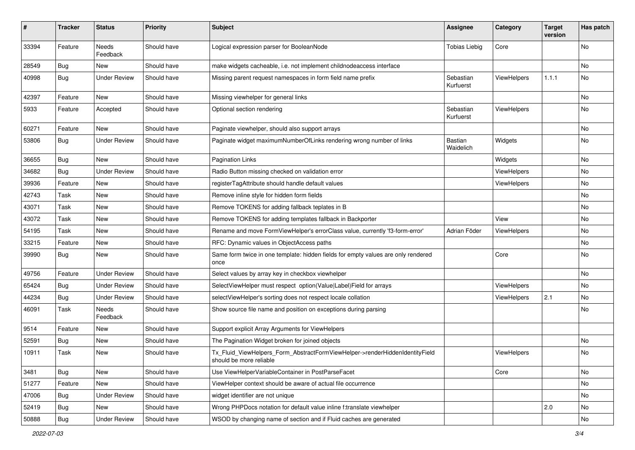| #     | <b>Tracker</b> | <b>Status</b>            | <b>Priority</b> | <b>Subject</b>                                                                                         | <b>Assignee</b>        | Category           | <b>Target</b><br>version | Has patch |
|-------|----------------|--------------------------|-----------------|--------------------------------------------------------------------------------------------------------|------------------------|--------------------|--------------------------|-----------|
| 33394 | Feature        | <b>Needs</b><br>Feedback | Should have     | Logical expression parser for BooleanNode                                                              | <b>Tobias Liebig</b>   | Core               |                          | <b>No</b> |
| 28549 | <b>Bug</b>     | New                      | Should have     | make widgets cacheable, i.e. not implement childnodeaccess interface                                   |                        |                    |                          | No        |
| 40998 | Bug            | <b>Under Review</b>      | Should have     | Missing parent request namespaces in form field name prefix                                            | Sebastian<br>Kurfuerst | ViewHelpers        | 1.1.1                    | No        |
| 42397 | Feature        | <b>New</b>               | Should have     | Missing viewhelper for general links                                                                   |                        |                    |                          | No        |
| 5933  | Feature        | Accepted                 | Should have     | Optional section rendering                                                                             | Sebastian<br>Kurfuerst | ViewHelpers        |                          | No        |
| 60271 | Feature        | New                      | Should have     | Paginate viewhelper, should also support arrays                                                        |                        |                    |                          | No        |
| 53806 | Bug            | <b>Under Review</b>      | Should have     | Paginate widget maximumNumberOfLinks rendering wrong number of links                                   | Bastian<br>Waidelich   | Widgets            |                          | No        |
| 36655 | Bug            | New                      | Should have     | <b>Pagination Links</b>                                                                                |                        | Widgets            |                          | No        |
| 34682 | Bug            | <b>Under Review</b>      | Should have     | Radio Button missing checked on validation error                                                       |                        | <b>ViewHelpers</b> |                          | No        |
| 39936 | Feature        | New                      | Should have     | registerTagAttribute should handle default values                                                      |                        | ViewHelpers        |                          | No        |
| 42743 | Task           | New                      | Should have     | Remove inline style for hidden form fields                                                             |                        |                    |                          | No        |
| 43071 | Task           | New                      | Should have     | Remove TOKENS for adding fallback teplates in B                                                        |                        |                    |                          | No        |
| 43072 | Task           | New                      | Should have     | Remove TOKENS for adding templates fallback in Backporter                                              |                        | View               |                          | No        |
| 54195 | Task           | New                      | Should have     | Rename and move FormViewHelper's errorClass value, currently 'f3-form-error'                           | Adrian Föder           | ViewHelpers        |                          | No        |
| 33215 | Feature        | New                      | Should have     | RFC: Dynamic values in ObjectAccess paths                                                              |                        |                    |                          | No        |
| 39990 | Bug            | New                      | Should have     | Same form twice in one template: hidden fields for empty values are only rendered<br>once              |                        | Core               |                          | No        |
| 49756 | Feature        | <b>Under Review</b>      | Should have     | Select values by array key in checkbox viewhelper                                                      |                        |                    |                          | <b>No</b> |
| 65424 | Bug            | <b>Under Review</b>      | Should have     | SelectViewHelper must respect option(Value Label)Field for arrays                                      |                        | ViewHelpers        |                          | No        |
| 44234 | Bug            | <b>Under Review</b>      | Should have     | selectViewHelper's sorting does not respect locale collation                                           |                        | ViewHelpers        | 2.1                      | No        |
| 46091 | Task           | Needs<br>Feedback        | Should have     | Show source file name and position on exceptions during parsing                                        |                        |                    |                          | No        |
| 9514  | Feature        | New                      | Should have     | Support explicit Array Arguments for ViewHelpers                                                       |                        |                    |                          |           |
| 52591 | Bug            | New                      | Should have     | The Pagination Widget broken for joined objects                                                        |                        |                    |                          | No        |
| 10911 | Task           | New                      | Should have     | Tx_Fluid_ViewHelpers_Form_AbstractFormViewHelper->renderHiddenIdentityField<br>should be more reliable |                        | ViewHelpers        |                          | No        |
| 3481  | Bug            | New                      | Should have     | Use ViewHelperVariableContainer in PostParseFacet                                                      |                        | Core               |                          | No        |
| 51277 | Feature        | New                      | Should have     | ViewHelper context should be aware of actual file occurrence                                           |                        |                    |                          | No        |
| 47006 | Bug            | <b>Under Review</b>      | Should have     | widget identifier are not unique                                                                       |                        |                    |                          | No        |
| 52419 | <b>Bug</b>     | New                      | Should have     | Wrong PHPDocs notation for default value inline f:translate viewhelper                                 |                        |                    | 2.0                      | No        |
| 50888 | Bug            | <b>Under Review</b>      | Should have     | WSOD by changing name of section and if Fluid caches are generated                                     |                        |                    |                          | No        |